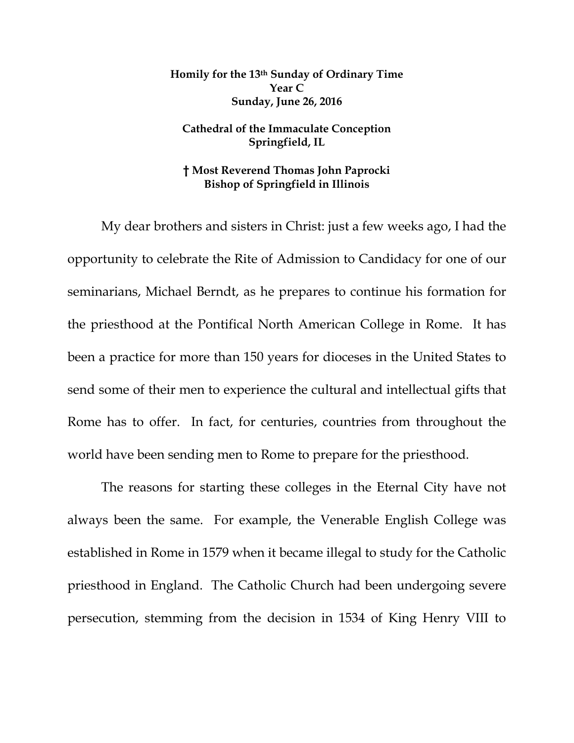## **Homily for the 13th Sunday of Ordinary Time Year C Sunday, June 26, 2016**

## **Cathedral of the Immaculate Conception Springfield, IL**

## **† Most Reverend Thomas John Paprocki Bishop of Springfield in Illinois**

My dear brothers and sisters in Christ: just a few weeks ago, I had the opportunity to celebrate the Rite of Admission to Candidacy for one of our seminarians, Michael Berndt, as he prepares to continue his formation for the priesthood at the Pontifical North American College in Rome. It has been a practice for more than 150 years for dioceses in the United States to send some of their men to experience the cultural and intellectual gifts that Rome has to offer. In fact, for centuries, countries from throughout the world have been sending men to Rome to prepare for the priesthood.

The reasons for starting these colleges in the Eternal City have not always been the same. For example, the Venerable English College was established in Rome in 1579 when it became illegal to study for the Catholic priesthood in England. The Catholic Church had been undergoing severe persecution, stemming from the decision in 1534 of King Henry VIII to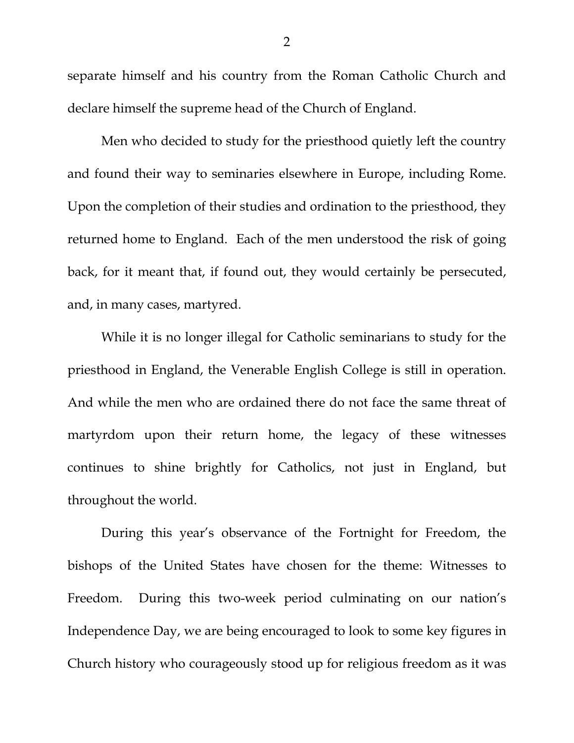separate himself and his country from the Roman Catholic Church and declare himself the supreme head of the Church of England.

Men who decided to study for the priesthood quietly left the country and found their way to seminaries elsewhere in Europe, including Rome. Upon the completion of their studies and ordination to the priesthood, they returned home to England. Each of the men understood the risk of going back, for it meant that, if found out, they would certainly be persecuted, and, in many cases, martyred.

While it is no longer illegal for Catholic seminarians to study for the priesthood in England, the Venerable English College is still in operation. And while the men who are ordained there do not face the same threat of martyrdom upon their return home, the legacy of these witnesses continues to shine brightly for Catholics, not just in England, but throughout the world.

During this year's observance of the Fortnight for Freedom, the bishops of the United States have chosen for the theme: Witnesses to Freedom. During this two-week period culminating on our nation's Independence Day, we are being encouraged to look to some key figures in Church history who courageously stood up for religious freedom as it was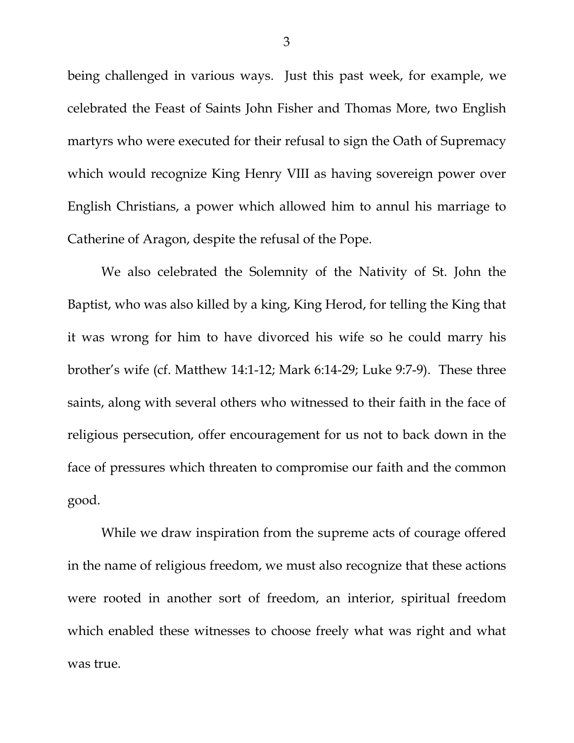being challenged in various ways. Just this past week, for example, we celebrated the Feast of Saints John Fisher and Thomas More, two English martyrs who were executed for their refusal to sign the Oath of Supremacy which would recognize King Henry VIII as having sovereign power over English Christians, a power which allowed him to annul his marriage to Catherine of Aragon, despite the refusal of the Pope.

We also celebrated the Solemnity of the Nativity of St. John the Baptist, who was also killed by a king, King Herod, for telling the King that it was wrong for him to have divorced his wife so he could marry his brother's wife (cf. Matthew 14:1-12; Mark 6:14-29; Luke 9:7-9). These three saints, along with several others who witnessed to their faith in the face of religious persecution, offer encouragement for us not to back down in the face of pressures which threaten to compromise our faith and the common good.

While we draw inspiration from the supreme acts of courage offered in the name of religious freedom, we must also recognize that these actions were rooted in another sort of freedom, an interior, spiritual freedom which enabled these witnesses to choose freely what was right and what was true.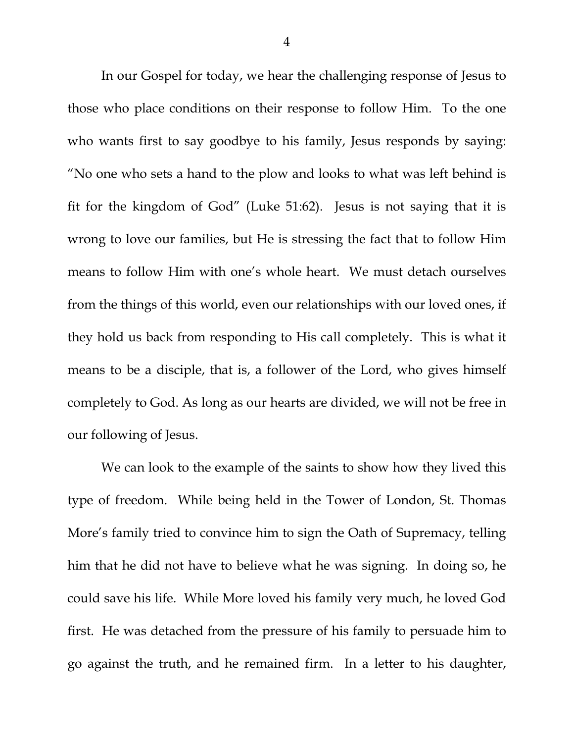<span id="page-3-2"></span><span id="page-3-1"></span><span id="page-3-0"></span>In our Gospel for today, we hear the challenging response of Jesus to those who place conditions on their response to follow Him. To the one who wants first to say goodbye to his family, Jesus responds by saying: "No one who sets a hand to the plow and looks to what was left behind is fit for the kingdom of God" (Luke 51:62). Jesus is not saying that it is wrong to love our families, but He is stressing the fact that to follow Him means to follow Him with one's whole heart. We must detach ourselves from the things of this world, even our relationships with our loved ones, if they hold us back from responding to His call completely. This is what it means to be a disciple, that is, a follower of the Lord, who gives himself completely to God. As long as our hearts are divided, we will not be free in our following of Jesus.

We can look to the example of the saints to show how they lived this type of freedom. While being held in the Tower of London, St. Thomas More's family tried to convince him to sign the Oath of Supremacy, telling him that he did not have to believe what he was signing. In doing so, he could save his life. While More loved his family very much, he loved God first. He was detached from the pressure of his family to persuade him to go against the truth, and he remained firm. In a letter to his daughter,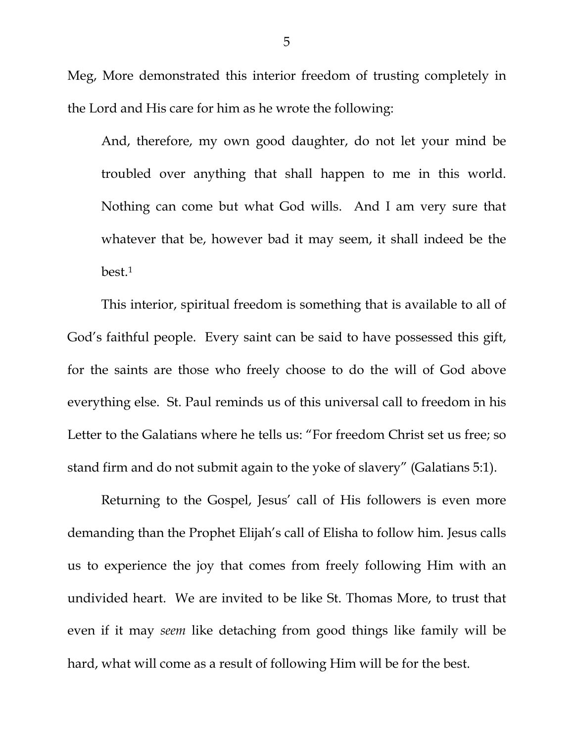Meg, More demonstrated this interior freedom of trusting completely in the Lord and His care for him as he wrote the following:

And, therefore, my own good daughter, do not let your mind be troubled over anything that shall happen to me in this world. Nothing can come but what God wills. And I am very sure that whatever that be, however bad it may seem, it shall indeed be the best.[1](#page-3-0)

This interior, spiritual freedom is something that is available to all of God's faithful people. Every saint can be said to have possessed this gift, for the saints are those who freely choose to do the will of God above everything else. St. Paul reminds us of this universal call to freedom in his Letter to the Galatians where he tells us: "For freedom Christ set us free; so stand firm and do not submit again to the yoke of slavery" (Galatians 5:1).

Returning to the Gospel, Jesus' call of His followers is even more demanding than the Prophet Elijah's call of Elisha to follow him. Jesus calls us to experience the joy that comes from freely following Him with an undivided heart. We are invited to be like St. Thomas More, to trust that even if it may *seem* like detaching from good things like family will be hard, what will come as a result of following Him will be for the best.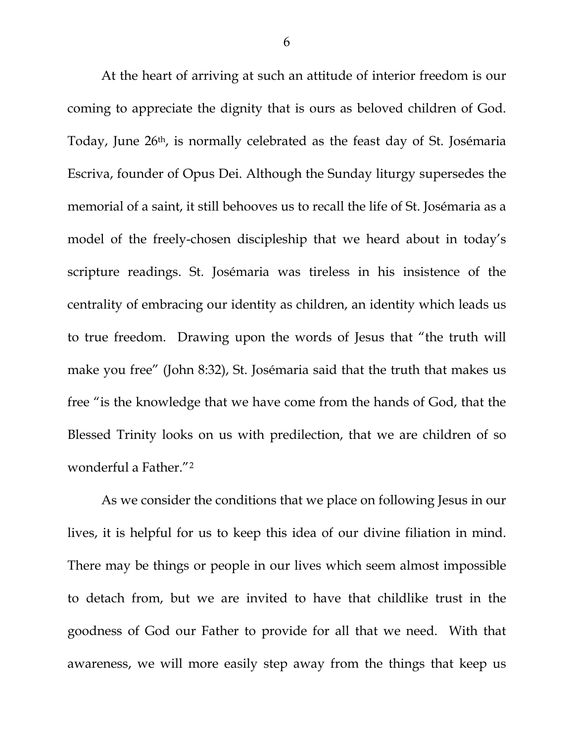At the heart of arriving at such an attitude of interior freedom is our coming to appreciate the dignity that is ours as beloved children of God. Today, June 26th, is normally celebrated as the feast day of St. Josémaria Escriva, founder of Opus Dei. Although the Sunday liturgy supersedes the memorial of a saint, it still behooves us to recall the life of St. Josémaria as a model of the freely-chosen discipleship that we heard about in today's scripture readings. St. Josémaria was tireless in his insistence of the centrality of embracing our identity as children, an identity which leads us to true freedom. Drawing upon the words of Jesus that "the truth will make you free" (John 8:32), St. Josémaria said that the truth that makes us free "is the knowledge that we have come from the hands of God, that the Blessed Trinity looks on us with predilection, that we are children of so wonderful a Father."[2](#page-3-1)

As we consider the conditions that we place on following Jesus in our lives, it is helpful for us to keep this idea of our divine filiation in mind. There may be things or people in our lives which seem almost impossible to detach from, but we are invited to have that childlike trust in the goodness of God our Father to provide for all that we need. With that awareness, we will more easily step away from the things that keep us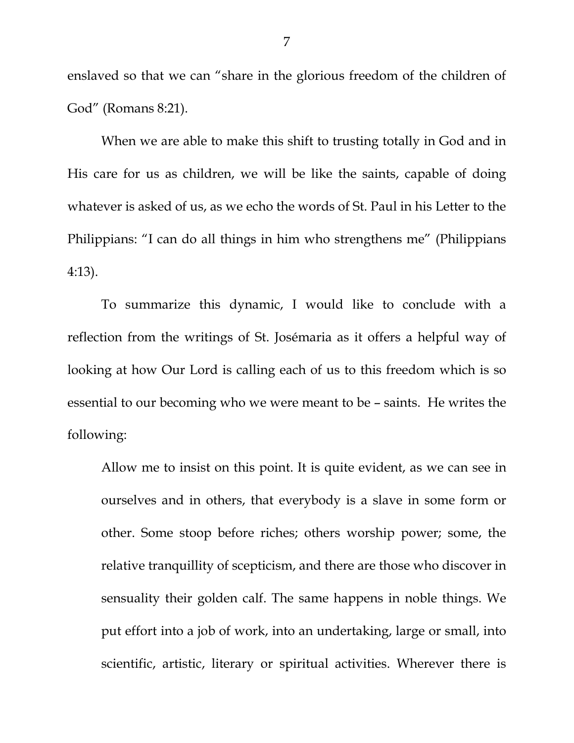enslaved so that we can "share in the glorious freedom of the children of God" (Romans 8:21).

When we are able to make this shift to trusting totally in God and in His care for us as children, we will be like the saints, capable of doing whatever is asked of us, as we echo the words of St. Paul in his Letter to the Philippians: "I can do all things in him who strengthens me" (Philippians 4:13).

To summarize this dynamic, I would like to conclude with a reflection from the writings of St. Josémaria as it offers a helpful way of looking at how Our Lord is calling each of us to this freedom which is so essential to our becoming who we were meant to be – saints. He writes the following:

Allow me to insist on this point. It is quite evident, as we can see in ourselves and in others, that everybody is a slave in some form or other. Some stoop before riches; others worship power; some, the relative tranquillity of scepticism, and there are those who discover in sensuality their golden calf. The same happens in noble things. We put effort into a job of work, into an undertaking, large or small, into scientific, artistic, literary or spiritual activities. Wherever there is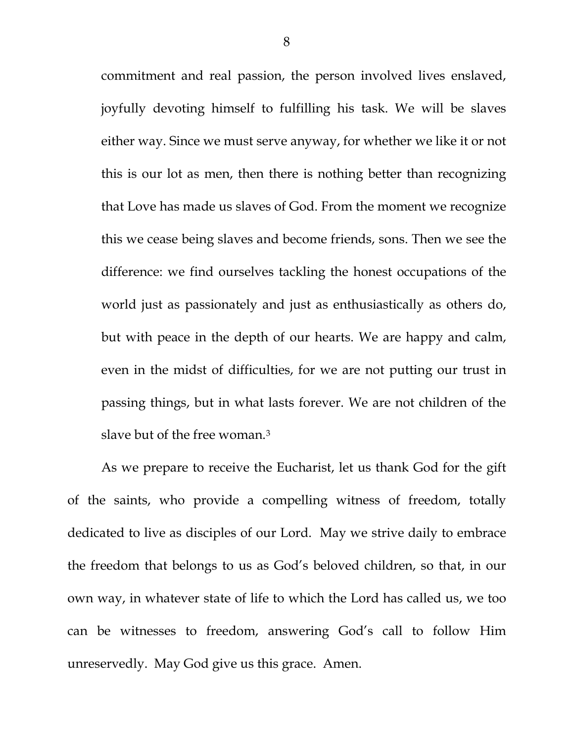commitment and real passion, the person involved lives enslaved, joyfully devoting himself to fulfilling his task. We will be slaves either way. Since we must serve anyway, for whether we like it or not this is our lot as men, then there is nothing better than recognizing that Love has made us slaves of God. From the moment we recognize this we cease being slaves and become friends, sons. Then we see the difference: we find ourselves tackling the honest occupations of the world just as passionately and just as enthusiastically as others do, but with peace in the depth of our hearts. We are happy and calm, even in the midst of difficulties, for we are not putting our trust in passing things, but in what lasts forever. We are not children of the slave but of the free woman.<sup>[3](#page-3-2)</sup>

As we prepare to receive the Eucharist, let us thank God for the gift of the saints, who provide a compelling witness of freedom, totally dedicated to live as disciples of our Lord. May we strive daily to embrace the freedom that belongs to us as God's beloved children, so that, in our own way, in whatever state of life to which the Lord has called us, we too can be witnesses to freedom, answering God's call to follow Him unreservedly. May God give us this grace. Amen.